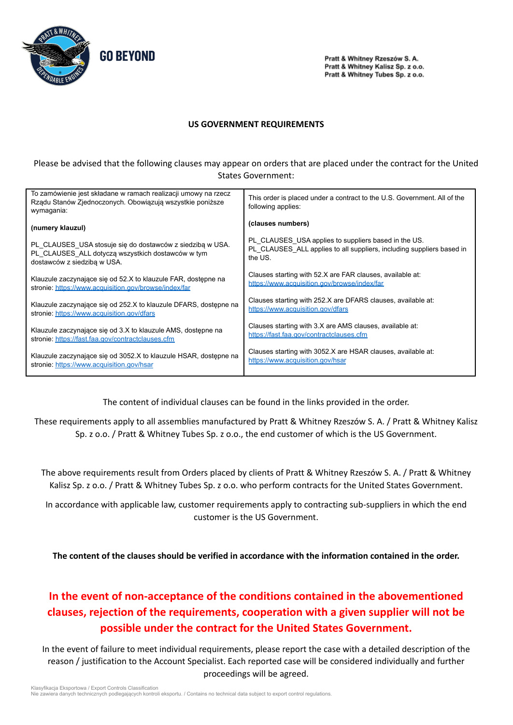

Pratt & Whitney Rzeszów S. A. Pratt & Whitney Kalisz Sp. z o.o. Pratt & Whitney Tubes Sp. z o.o.

## **US GOVERNMENT REQUIREMENTS**

Please be advised that the following clauses may appear on orders that are placed under the contract for the United States Government:

| To zamówienie jest składane w ramach realizacji umowy na rzecz<br>Rządu Stanów Zjednoczonych. Obowiązują wszystkie poniższe<br>wymagania: | This order is placed under a contract to the U.S. Government. All of the<br>following applies: |
|-------------------------------------------------------------------------------------------------------------------------------------------|------------------------------------------------------------------------------------------------|
| (numery klauzul)                                                                                                                          | (clauses numbers)                                                                              |
| PL CLAUSES USA stosuje się do dostawców z siedzibą w USA.                                                                                 | PL CLAUSES USA applies to suppliers based in the US.                                           |
| PL CLAUSES ALL dotyczą wszystkich dostawców w tym                                                                                         | PL_CLAUSES_ALL applies to all suppliers, including suppliers based in                          |
| dostawców z siedzibą w USA.                                                                                                               | the US.                                                                                        |
| Klauzule zaczynające się od 52.X to klauzule FAR, dostępne na                                                                             | Clauses starting with 52.X are FAR clauses, available at:                                      |
| stronie: https://www.acquisition.gov/browse/index/far                                                                                     | https://www.acquisition.gov/browse/index/far                                                   |
| Klauzule zaczynające się od 252.X to klauzule DFARS, dostępne na                                                                          | Clauses starting with 252.X are DFARS clauses, available at:                                   |
| stronie: https://www.acquisition.gov/dfars                                                                                                | https://www.acquisition.gov/dfars                                                              |
| Klauzule zaczynające się od 3.X to klauzule AMS, dostępne na                                                                              | Clauses starting with 3.X are AMS clauses, available at:                                       |
| stronie: https://fast.faa.gov/contractclauses.cfm                                                                                         | https://fast.faa.gov/contractclauses.cfm                                                       |
| Klauzule zaczynające się od 3052.X to klauzule HSAR, dostępne na                                                                          | Clauses starting with 3052.X are HSAR clauses, available at:                                   |
| stronie: https://www.acquisition.gov/hsar                                                                                                 | https://www.acquisition.gov/hsar                                                               |

The content of individual clauses can be found in the links provided in the order.

These requirements apply to all assemblies manufactured by Pratt & Whitney Rzeszów S. A. / Pratt & Whitney Kalisz Sp. z o.o. / Pratt & Whitney Tubes Sp. z o.o., the end customer of which is the US Government.

The above requirements result from Orders placed by clients of Pratt & Whitney Rzeszów S. A. / Pratt & Whitney Kalisz Sp. z o.o. / Pratt & Whitney Tubes Sp. z o.o. who perform contracts for the United States Government.

In accordance with applicable law, customer requirements apply to contracting sub-suppliers in which the end customer is the US Government.

**The content of the clauses should be verified in accordance with the information contained in the order.**

## **In the event of non-acceptance of the conditions contained in the abovementioned clauses, rejection of the requirements, cooperation with a given supplier will not be possible under the contract for the United States Government.**

In the event of failure to meet individual requirements, please report the case with a detailed description of the reason / justification to the Account Specialist. Each reported case will be considered individually and further proceedings will be agreed.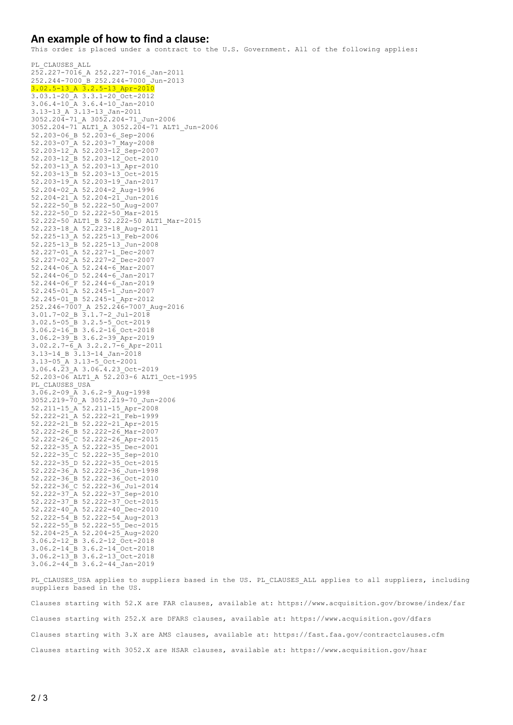## **An example of how to find a clause:**

This order is placed under a contract to the U.S. Government. All of the following applies:

PL\_CLAUSES\_ALL 252.227-7016\_A 252.227-7016\_Jan-2011 252.244-7000\_B 252.244-7000\_Jun-2013 3.02.5-13\_A 3.2.5-13\_Apr-2010 3.03.1-20\_A 3.3.1-20\_Oct-2012 3.06.4-10\_A 3.6.4-10\_Jan-2010 3.13-13 A 3.13-13 Jan-2011 3052.204-71\_A 3052.204-71\_Jun-2006 3052.204-71 ALT1\_A 3052.204-71 ALT1\_Jun-2006 52.203-06\_B 52.203-6\_Sep-2006 52.203-07\_A 52.203-7\_May-2008 52.203-12\_A 52.203-12\_Sep-2007 52.203-12\_B 52.203-12\_Oct-2010 52.203-13\_A 52.203-13\_Apr-2010 52.203-13\_B 52.203-13\_Oct-2015 52.203-19\_A 52.203-19\_Jan-2017 52.204-02\_A 52.204-2\_Aug-1996 52.204-21\_A 52.204-21\_Jun-2016 52.222-50\_B 52.222-50\_Aug-2007 52.222-50\_D 52.222-50\_Mar-2015 52.222-50 ALT1\_B 52.222-50 ALT1\_Mar-2015 52.223-18\_A 52.223-18\_Aug-2011 52.225-13\_A 52.225-13\_Feb-2006 52.225-13\_B 52.225-13\_Jun-2008 52.227-01\_A 52.227-1\_Dec-2007 52.227-02\_A 52.227-2\_Dec-2007 52.244-06\_A 52.244-6\_Mar-2007 52.244-06\_D 52.244-6\_Jan-2017 52.244-06\_F 52.244-6\_Jan-2019 52.245-01\_A 52.245-1\_Jun-2007 52.245-01\_B 52.245-1\_Apr-2012 252.246-7007\_A 252.246-7007\_Aug-2016 3.01.7-02\_B 3.1.7-2\_Jul-2018 3.02.5-05\_B 3.2.5-5\_Oct-2019 3.06.2-16\_B 3.6.2-16\_Oct-2018 3.06.2-39\_B 3.6.2-39\_Apr-2019  $3.02.2.7-\overline{6}$  A  $3.2.2.7-\overline{6}$  Apr-2011 3.13-14 B 3.13-14 Jan-2018 3.13-05\_A 3.13-5\_Oct-2001 3.06.4.23\_A 3.06.4.23\_Oct-2019 52.203-06 ALT1\_A 52.203-6 ALT1\_Oct-1995 PL\_CLAUSES\_USA  $3.\overline{0}6.2-09$   $\overline{A}$  3.6.2-9 Aug-1998 3052.219-70\_A 3052.219-70\_Jun-2006 52.211-15\_A 52.211-15\_Apr-2008 52.222-21\_A 52.222-21\_Feb-1999 52.222-21\_B 52.222-21\_Apr-2015 52.222-26\_B 52.222-26\_Mar-2007 52.222-26\_C 52.222-26\_Apr-2015 52.222-35\_A 52.222-35\_Dec-2001 52.222-35\_C 52.222-35\_Sep-2010 52.222-35\_D 52.222-35\_Oct-2015 52.222-36\_A 52.222-36\_Jun-1998 52.222-36\_B 52.222-36\_Oct-2010 52.222-36\_C 52.222-36\_Jul-2014 52.222-37\_A 52.222-37\_Sep-2010 52.222-37\_B 52.222-37\_Oct-2015 52.222-40\_A 52.222-40\_Dec-2010 52.222-54\_B 52.222-54\_Aug-2013 52.222-55\_B 52.222-55\_Dec-2015 52.204-25\_A 52.204-25\_Aug-2020 3.06.2-12\_B 3.6.2-12\_Oct-2018 3.06.2-14\_B 3.6.2-14\_Oct-2018 3.06.2-13\_B 3.6.2-13\_Oct-2018 3.06.2-44\_B 3.6.2-44\_Jan-2019

PL CLAUSES USA applies to suppliers based in the US. PL CLAUSES ALL applies to all suppliers, including suppliers based in the US.

Clauses starting with 52.X are FAR clauses, available at: https://www.acquisition.gov/browse/index/far Clauses starting with 252.X are DFARS clauses, available at: https://www.acquisition.gov/dfars Clauses starting with 3.X are AMS clauses, available at: https://fast.faa.gov/contractclauses.cfm Clauses starting with 3052.X are HSAR clauses, available at: https://www.acquisition.gov/hsar